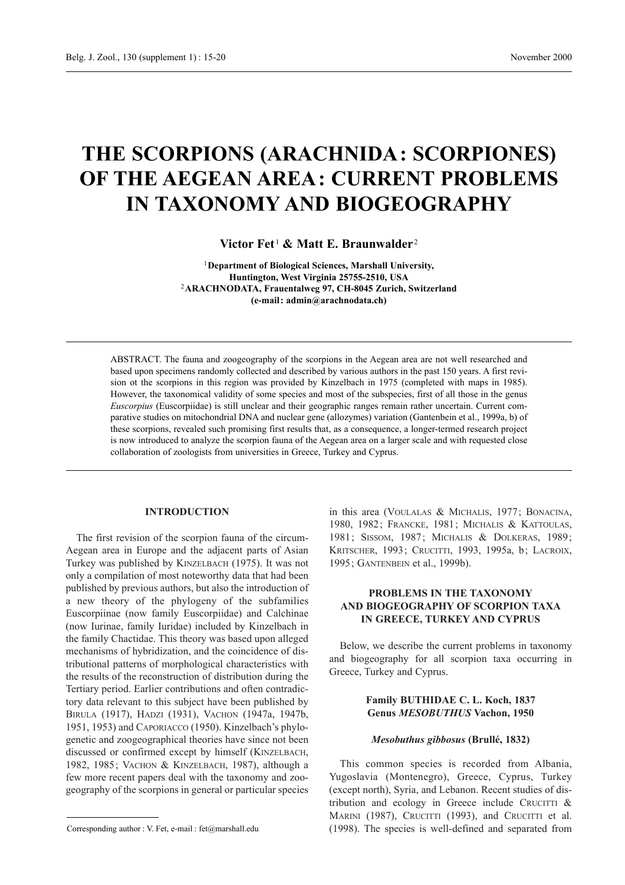# **THE SCORPIONS (ARACHNIDA: SCORPIONES) OF THE AEGEAN AREA: CURRENT PROBLEMS IN TAXONOMY AND BIOGEOGRAPHY**

**Victor Fet** <sup>1</sup> **& Matt E. Braunwalder** <sup>2</sup>

<sup>1</sup>**Department of Biological Sciences, Marshall University, Huntington, West Virginia 25755-2510, USA** <sup>2</sup>**ARACHNODATA, Frauentalweg 97, CH-8045 Zurich, Switzerland (e-mail: admin@arachnodata.ch)**

ABSTRACT. The fauna and zoogeography of the scorpions in the Aegean area are not well researched and based upon specimens randomly collected and described by various authors in the past 150 years. A first revision ot the scorpions in this region was provided by Kinzelbach in 1975 (completed with maps in 1985). However, the taxonomical validity of some species and most of the subspecies, first of all those in the genus *Euscorpius* (Euscorpiidae) is still unclear and their geographic ranges remain rather uncertain. Current comparative studies on mitochondrial DNA and nuclear gene (allozymes) variation (Gantenbein et al., 1999a, b) of these scorpions, revealed such promising first results that, as a consequence, a longer-termed research project is now introduced to analyze the scorpion fauna of the Aegean area on a larger scale and with requested close collaboration of zoologists from universities in Greece, Turkey and Cyprus.

### **INTRODUCTION**

The first revision of the scorpion fauna of the circum-Aegean area in Europe and the adjacent parts of Asian Turkey was published by KINZELBACH (1975). It was not only a compilation of most noteworthy data that had been published by previous authors, but also the introduction of a new theory of the phylogeny of the subfamilies Euscorpiinae (now family Euscorpiidae) and Calchinae (now Iurinae, family Iuridae) included by Kinzelbach in the family Chactidae. This theory was based upon alleged mechanisms of hybridization, and the coincidence of distributional patterns of morphological characteristics with the results of the reconstruction of distribution during the Tertiary period. Earlier contributions and often contradictory data relevant to this subject have been published by BIRULA (1917), HADZI (1931), VACHON (1947a, 1947b, 1951, 1953) and CAPORIACCO (1950). Kinzelbach's phylogenetic and zoogeographical theories have since not been discussed or confirmed except by himself (KINZELBACH, 1982, 1985; VACHON & KINZELBACH, 1987), although a few more recent papers deal with the taxonomy and zoogeography of the scorpions in general or particular species

Corresponding author : V. Fet, e-mail : fet@marshall.edu

in this area (VOULALAS & MICHALIS, 1977; BONACINA, 1980, 1982; FRANCKE, 1981; MICHALIS & KATTOULAS, 1981; SISSOM, 1987; MICHALIS & DOLKERAS, 1989; KRITSCHER, 1993; CRUCITTI, 1993, 1995a, b; LACROIX, 1995; GANTENBEIN et al., 1999b).

## **PROBLEMS IN THE TAXONOMY AND BIOGEOGRAPHY OF SCORPION TAXA IN GREECE, TURKEY AND CYPRUS**

Below, we describe the current problems in taxonomy and biogeography for all scorpion taxa occurring in Greece, Turkey and Cyprus.

## **Family BUTHIDAE C. L. Koch, 1837 Genus** *MESOBUTHUS* **Vachon, 1950**

#### *Mesobuthus gibbosus* **(Brullé, 1832)**

This common species is recorded from Albania, Yugoslavia (Montenegro), Greece, Cyprus, Turkey (except north), Syria, and Lebanon. Recent studies of distribution and ecology in Greece include CRUCITTI  $\&$ MARINI (1987), CRUCITTI (1993), and CRUCITTI et al. (1998). The species is well-defined and separated from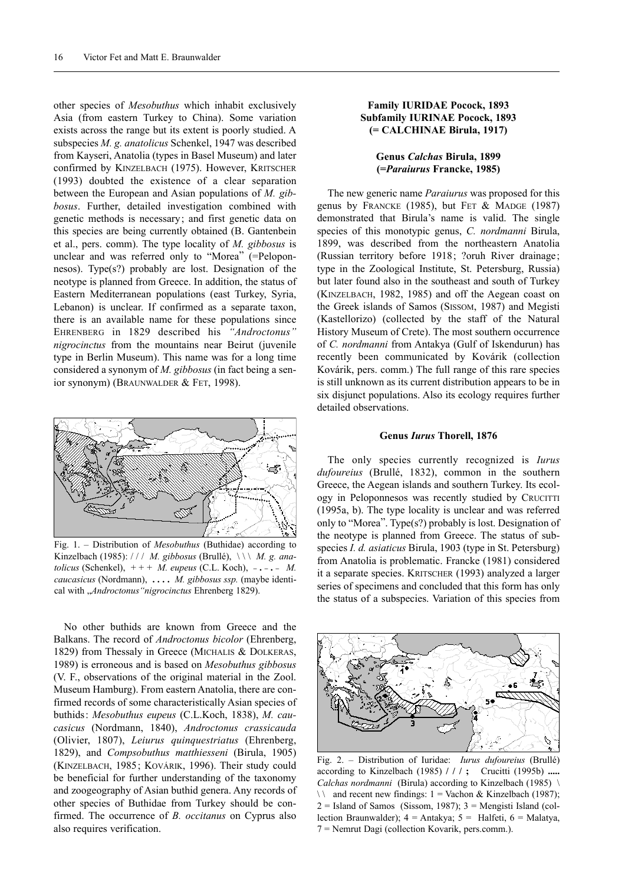other species of *Mesobuthus* which inhabit exclusively Asia (from eastern Turkey to China). Some variation exists across the range but its extent is poorly studied. A subspecies *M. g. anatolicus* Schenkel, 1947 was described from Kayseri, Anatolia (types in Basel Museum) and later confirmed by KINZELBACH (1975). However, KRITSCHER (1993) doubted the existence of a clear separation between the European and Asian populations of *M. gibbosus*. Further, detailed investigation combined with genetic methods is necessary; and first genetic data on this species are being currently obtained (B. Gantenbein et al., pers. comm). The type locality of *M. gibbosus* is unclear and was referred only to "Morea" (=Peloponnesos). Type(s?) probably are lost. Designation of the neotype is planned from Greece. In addition, the status of Eastern Mediterranean populations (east Turkey, Syria, Lebanon) is unclear. If confirmed as a separate taxon, there is an available name for these populations since EHRENBERG in 1829 described his *"Androctonus" nigrocinctus* from the mountains near Beirut (juvenile type in Berlin Museum). This name was for a long time considered a synonym of *M. gibbosus* (in fact being a senior synonym) (BRAUNWALDER & FET, 1998).



Fig. 1. – Distribution of *Mesobuthus* (Buthidae) according to Kinzelbach (1985): / / / *M. gibbosus* (Brullé), \ \ \ *M. g. anatolicus* (Schenkel), + + + *M. eupeus* (C.L. Koch), **\_ . \_ . \_** *M. caucasicus* (Nordmann), **. . . .** *M. gibbosus ssp.* (maybe identical with "*Androctonus"nigrocinctus* Ehrenberg 1829).

No other buthids are known from Greece and the Balkans. The record of *Androctonus bicolor* (Ehrenberg, 1829) from Thessaly in Greece (MICHALIS & DOLKERAS, 1989) is erroneous and is based on *Mesobuthus gibbosus* (V. F., observations of the original material in the Zool. Museum Hamburg). From eastern Anatolia, there are confirmed records of some characteristically Asian species of buthids: *Mesobuthus eupeus* (C.L.Koch, 1838), *M. caucasicus* (Nordmann, 1840), *Androctonus crassicauda* (Olivier, 1807), *Leiurus quinquestriatus* (Ehrenberg, 1829), and *Compsobuthus matthiesseni* (Birula, 1905) (KINZELBACH, 1985; KOVÁRIK, 1996). Their study could be beneficial for further understanding of the taxonomy and zoogeography of Asian buthid genera. Any records of other species of Buthidae from Turkey should be confirmed. The occurrence of *B. occitanus* on Cyprus also also requires verification.

## **Family IURIDAE Pocock, 1893 Subfamily IURINAE Pocock, 1893 (= CALCHINAE Birula, 1917)**

## **Genus** *Calchas* **Birula, 1899 (=***Paraiurus* **Francke, 1985)**

The new generic name *Paraiurus* was proposed for this genus by FRANCKE (1985), but FET & MADGE (1987) demonstrated that Birula's name is valid. The single species of this monotypic genus, *C. nordmanni* Birula, 1899, was described from the northeastern Anatolia (Russian territory before 1918; ?oruh River drainage; type in the Zoological Institute, St. Petersburg, Russia) but later found also in the southeast and south of Turkey (KINZELBACH, 1982, 1985) and off the Aegean coast on the Greek islands of Samos (SISSOM, 1987) and Megisti (Kastellorizo) (collected by the staff of the Natural History Museum of Crete). The most southern occurrence of *C. nordmanni* from Antakya (Gulf of Iskendurun) has recently been communicated by Kovárik (collection Kovárik, pers. comm.) The full range of this rare species is still unknown as its current distribution appears to be in six disjunct populations. Also its ecology requires further detailed observations.

#### **Genus** *Iurus* **Thorell, 1876**

The only species currently recognized is *Iurus dufoureius* (Brullé, 1832), common in the southern Greece, the Aegean islands and southern Turkey. Its ecology in Peloponnesos was recently studied by CRUCITTI (1995a, b). The type locality is unclear and was referred only to "Morea". Type(s?) probably is lost. Designation of the neotype is planned from Greece. The status of subspecies *I. d. asiaticus* Birula, 1903 (type in St. Petersburg) from Anatolia is problematic. Francke (1981) considered it a separate species. KRITSCHER (1993) analyzed a larger series of specimens and concluded that this form has only the status of a subspecies. Variation of this species from



Fig. 2. – Distribution of Iuridae: *Iurus dufoureius* (Brullé) according to Kinzelbach (1985) **/ / / ;** Crucitti (1995b) **.....** *Calchas nordmanni* (Birula) according to Kinzelbach (1985) \  $\setminus$  and recent new findings: 1 = Vachon & Kinzelbach (1987);  $2 =$  Island of Samos (Sissom, 1987);  $3 =$ Mengisti Island (collection Braunwalder);  $4 = \text{Antakya}$ ;  $5 = \text{Halfeti}$ ,  $6 = \text{Malatva}$ . 7 = Nemrut Dagi (collection Kovarik, pers.comm.).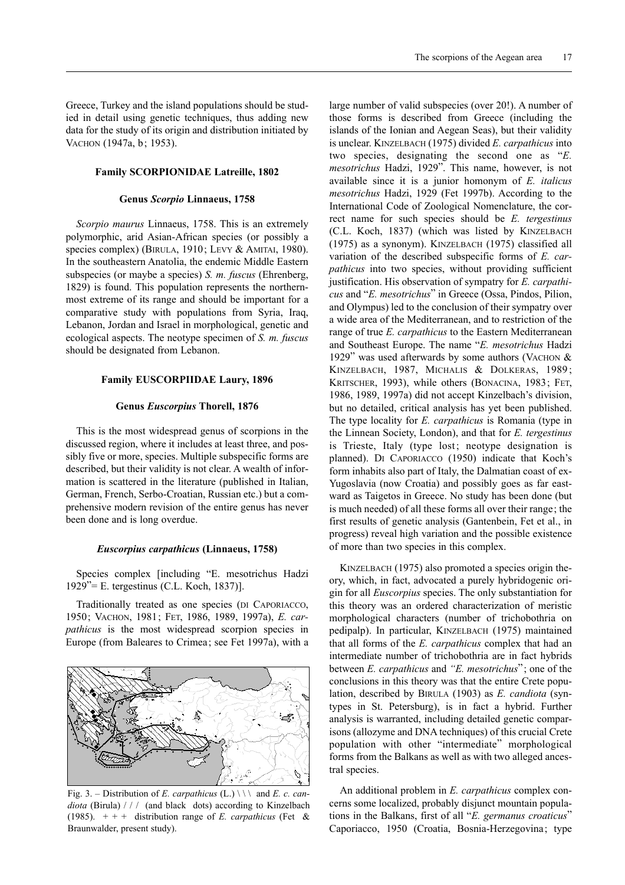Greece, Turkey and the island populations should be studied in detail using genetic techniques, thus adding new data for the study of its origin and distribution initiated by VACHON (1947a, b; 1953).

#### **Family SCORPIONIDAE Latreille, 1802**

#### **Genus** *Scorpio* **Linnaeus, 1758**

*Scorpio maurus* Linnaeus, 1758. This is an extremely polymorphic, arid Asian-African species (or possibly a species complex) (BIRULA, 1910; LEVY & AMITAI, 1980). In the southeastern Anatolia, the endemic Middle Eastern subspecies (or maybe a species) *S. m. fuscus* (Ehrenberg, 1829) is found. This population represents the northernmost extreme of its range and should be important for a comparative study with populations from Syria, Iraq, Lebanon, Jordan and Israel in morphological, genetic and ecological aspects. The neotype specimen of *S. m. fuscus* should be designated from Lebanon.

#### **Family EUSCORPIIDAE Laury, 1896**

#### **Genus** *Euscorpius* **Thorell, 1876**

This is the most widespread genus of scorpions in the discussed region, where it includes at least three, and possibly five or more, species. Multiple subspecific forms are described, but their validity is not clear. A wealth of information is scattered in the literature (published in Italian, German, French, Serbo-Croatian, Russian etc.) but a comprehensive modern revision of the entire genus has never been done and is long overdue.

#### *Euscorpius carpathicus* **(Linnaeus, 1758)**

Species complex [including "E. mesotrichus Hadzi 1929"= E. tergestinus (C.L. Koch, 1837)].

Traditionally treated as one species (DI CAPORIACCO, 1950; VACHON, 1981; FET, 1986, 1989, 1997a), *E. carpathicus* is the most widespread scorpion species in Europe (from Baleares to Crimea; see Fet 1997a), with a



Fig. 3. – Distribution of *E. carpathicus* (L.) \ \ \ and *E. c. candiota* (Birula) / / / (and black dots) according to Kinzelbach (1985).  $++$  + distribution range of *E. carpathicus* (Fet & Braunwalder, present study).

large number of valid subspecies (over 20!). A number of those forms is described from Greece (including the islands of the Ionian and Aegean Seas), but their validity is unclear. KINZELBACH (1975) divided *E. carpathicus* into two species, designating the second one as "*E. mesotrichus* Hadzi, 1929". This name, however, is not available since it is a junior homonym of *E. italicus mesotrichus* Hadzi, 1929 (Fet 1997b). According to the International Code of Zoological Nomenclature, the correct name for such species should be *E. tergestinus* (C.L. Koch, 1837) (which was listed by KINZELBACH (1975) as a synonym). KINZELBACH (1975) classified all variation of the described subspecific forms of *E. carpathicus* into two species, without providing sufficient justification. His observation of sympatry for *E. carpathicus* and "*E. mesotrichus*" in Greece (Ossa, Pindos, Pilion, and Olympus) led to the conclusion of their sympatry over a wide area of the Mediterranean, and to restriction of the range of true *E. carpathicus* to the Eastern Mediterranean and Southeast Europe. The name "*E. mesotrichus* Hadzi 1929" was used afterwards by some authors (VACHON  $&$ KINZELBACH, 1987, MICHALIS & DOLKERAS, 1989; KRITSCHER, 1993), while others (BONACINA, 1983; FET, 1986, 1989, 1997a) did not accept Kinzelbach's division, but no detailed, critical analysis has yet been published. The type locality for *E. carpathicus* is Romania (type in the Linnean Society, London), and that for *E. tergestinus* is Trieste, Italy (type lost; neotype designation is planned). DI CAPORIACCO (1950) indicate that Koch's form inhabits also part of Italy, the Dalmatian coast of ex-Yugoslavia (now Croatia) and possibly goes as far eastward as Taigetos in Greece. No study has been done (but is much needed) of all these forms all over their range; the first results of genetic analysis (Gantenbein, Fet et al., in progress) reveal high variation and the possible existence of more than two species in this complex.

KINZELBACH (1975) also promoted a species origin theory, which, in fact, advocated a purely hybridogenic origin for all *Euscorpius* species. The only substantiation for this theory was an ordered characterization of meristic morphological characters (number of trichobothria on pedipalp). In particular, KINZELBACH (1975) maintained that all forms of the *E. carpathicus* complex that had an intermediate number of trichobothria are in fact hybrids between *E. carpathicus* and *"E. mesotrichus*"; one of the conclusions in this theory was that the entire Crete population, described by BIRULA (1903) as *E. candiota* (syntypes in St. Petersburg), is in fact a hybrid. Further analysis is warranted, including detailed genetic comparisons (allozyme and DNA techniques) of this crucial Crete population with other "intermediate" morphological forms from the Balkans as well as with two alleged ancestral species.

An additional problem in *E. carpathicus* complex concerns some localized, probably disjunct mountain populations in the Balkans, first of all "*E. germanus croaticus*" Caporiacco, 1950 (Croatia, Bosnia-Herzegovina; type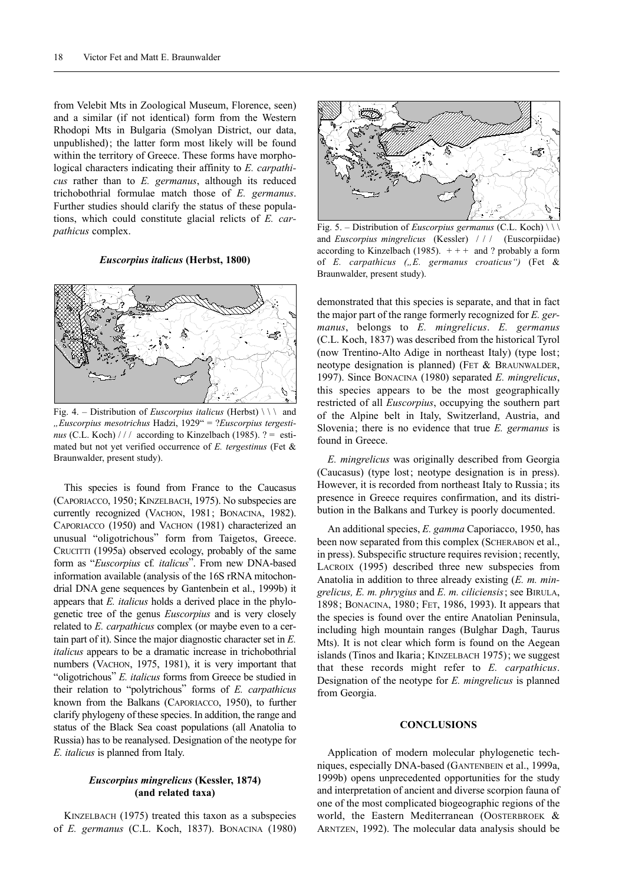from Velebit Mts in Zoological Museum, Florence, seen) and a similar (if not identical) form from the Western Rhodopi Mts in Bulgaria (Smolyan District, our data, unpublished); the latter form most likely will be found within the territory of Greece. These forms have morphological characters indicating their affinity to *E. carpathicus* rather than to *E. germanus*, although its reduced trichobothrial formulae match those of *E. germanus*. Further studies should clarify the status of these populations, which could constitute glacial relicts of *E. carpathicus* complex.

#### *Euscorpius italicus* **(Herbst, 1800)**



Fig. 4. – Distribution of *Euscorpius italicus* (Herbst)  $\setminus \setminus$  and *"Euscorpius mesotrichus* Hadzi, 1929" = ?*Euscorpius tergestinus* (C.L. Koch) / / / according to Kinzelbach (1985). ? = estimated but not yet verified occurrence of *E. tergestinus* (Fet & Braunwalder, present study).

This species is found from France to the Caucasus (CAPORIACCO, 1950; KINZELBACH, 1975). No subspecies are currently recognized (VACHON, 1981; BONACINA, 1982). CAPORIACCO (1950) and VACHON (1981) characterized an unusual "oligotrichous" form from Taigetos, Greece. CRUCITTI (1995a) observed ecology, probably of the same form as "*Euscorpius* cf*. italicus*". From new DNA-based information available (analysis of the 16S rRNA mitochondrial DNA gene sequences by Gantenbein et al., 1999b) it appears that *E. italicus* holds a derived place in the phylogenetic tree of the genus *Euscorpius* and is very closely related to *E. carpathicus* complex (or maybe even to a certain part of it). Since the major diagnostic character set in *E. italicus* appears to be a dramatic increase in trichobothrial numbers (VACHON, 1975, 1981), it is very important that "oligotrichous" *E. italicus* forms from Greece be studied in their relation to "polytrichous" forms of *E. carpathicus* known from the Balkans (CAPORIACCO, 1950), to further clarify phylogeny of these species. In addition, the range and status of the Black Sea coast populations (all Anatolia to Russia) has to be reanalysed. Designation of the neotype for *E. italicus* is planned from Italy.

## *Euscorpius mingrelicus* **(Kessler, 1874) (and related taxa)**

KINZELBACH (1975) treated this taxon as a subspecies of *E. germanus* (C.L. Koch, 1837). BONACINA (1980)



Fig. 5. – Distribution of *Euscorpius germanus* (C.L. Koch) \ \ \ and *Euscorpius mingrelicus* (Kessler) / / / (Euscorpiidae) according to Kinzelbach (1985).  $++$  and ? probably a form of *E. carpathicus ("E. germanus croaticus")* (Fet & Braunwalder, present study).

demonstrated that this species is separate, and that in fact the major part of the range formerly recognized for *E. germanus*, belongs to *E. mingrelicus*. *E. germanus* (C.L. Koch, 1837) was described from the historical Tyrol (now Trentino-Alto Adige in northeast Italy) (type lost; neotype designation is planned) (FET & BRAUNWALDER, 1997). Since BONACINA (1980) separated *E. mingrelicus*, this species appears to be the most geographically restricted of all *Euscorpius*, occupying the southern part of the Alpine belt in Italy, Switzerland, Austria, and Slovenia; there is no evidence that true *E. germanus* is found in Greece.

*E. mingrelicus* was originally described from Georgia (Caucasus) (type lost; neotype designation is in press). However, it is recorded from northeast Italy to Russia; its presence in Greece requires confirmation, and its distribution in the Balkans and Turkey is poorly documented.

An additional species, *E. gamma* Caporiacco, 1950, has been now separated from this complex (SCHERABON et al., in press). Subspecific structure requires revision; recently, LACROIX (1995) described three new subspecies from Anatolia in addition to three already existing (*E. m. mingrelicus, E. m. phrygius* and *E. m. ciliciensis*; see BIRULA, 1898; BONACINA, 1980; FET, 1986, 1993). It appears that the species is found over the entire Anatolian Peninsula, including high mountain ranges (Bulghar Dagh, Taurus Mts). It is not clear which form is found on the Aegean islands (Tinos and Ikaria; KINZELBACH 1975); we suggest that these records might refer to *E. carpathicus*. Designation of the neotype for *E. mingrelicus* is planned from Georgia.

#### **CONCLUSIONS**

Application of modern molecular phylogenetic techniques, especially DNA-based (GANTENBEIN et al., 1999a, 1999b) opens unprecedented opportunities for the study and interpretation of ancient and diverse scorpion fauna of one of the most complicated biogeographic regions of the world, the Eastern Mediterranean (OOSTERBROEK & ARNTZEN, 1992). The molecular data analysis should be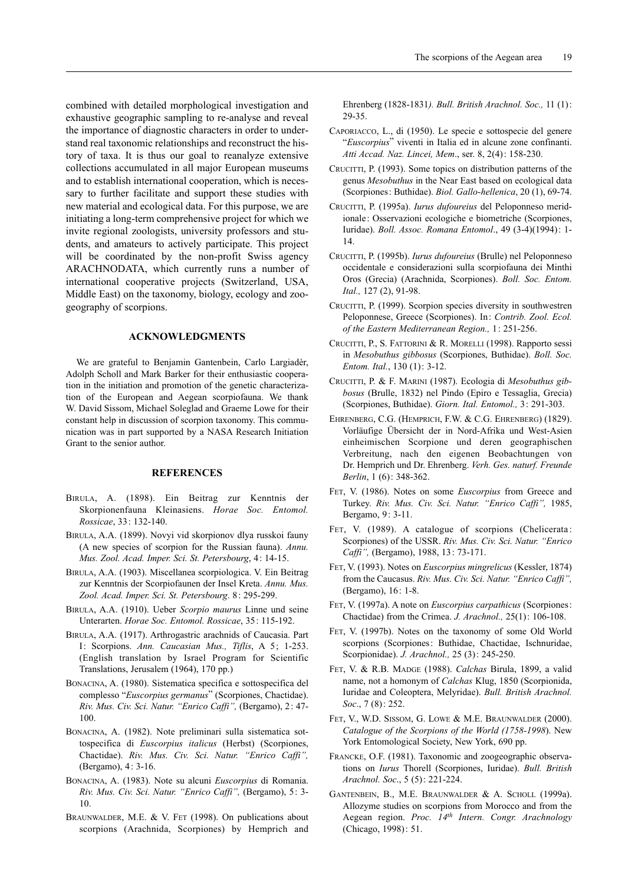combined with detailed morphological investigation and exhaustive geographic sampling to re-analyse and reveal the importance of diagnostic characters in order to understand real taxonomic relationships and reconstruct the history of taxa. It is thus our goal to reanalyze extensive collections accumulated in all major European museums and to establish international cooperation, which is necessary to further facilitate and support these studies with new material and ecological data. For this purpose, we are initiating a long-term comprehensive project for which we invite regional zoologists, university professors and students, and amateurs to actively participate. This project will be coordinated by the non-profit Swiss agency ARACHNODATA, which currently runs a number of international cooperative projects (Switzerland, USA, Middle East) on the taxonomy, biology, ecology and zoogeography of scorpions.

#### **ACKNOWLEDGMENTS**

We are grateful to Benjamin Gantenbein, Carlo Largiadèr, Adolph Scholl and Mark Barker for their enthusiastic cooperation in the initiation and promotion of the genetic characterization of the European and Aegean scorpiofauna. We thank W. David Sissom, Michael Soleglad and Graeme Lowe for their constant help in discussion of scorpion taxonomy. This communication was in part supported by a NASA Research Initiation Grant to the senior author.

#### **REFERENCES**

- BIRULA, A. (1898). Ein Beitrag zur Kenntnis der Skorpionenfauna Kleinasiens. *Horae Soc. Entomol. Rossicae*, 33: 132-140.
- BIRULA, A.A. (1899). Novyi vid skorpionov dlya russkoi fauny (A new species of scorpion for the Russian fauna). *Annu. Mus. Zool. Acad. Imper. Sci. St. Petersbourg*, 4: 14-15.
- BIRULA, A.A. (1903). Miscellanea scorpiologica. V. Ein Beitrag zur Kenntnis der Scorpiofaunen der Insel Kreta. *Annu. Mus. Zool. Acad. Imper. Sci. St. Petersbourg*. 8: 295-299.
- BIRULA, A.A. (1910). Ueber *Scorpio maurus* Linne und seine Unterarten. *Horae Soc. Entomol. Rossicae*, 35: 115-192.
- BIRULA, A.A. (1917). Arthrogastric arachnids of Caucasia. Part I: Scorpions. *Ann. Caucasian Mus., Tiflis*, A 5; 1-253. (English translation by Israel Program for Scientific Translations, Jerusalem (1964), 170 pp.)
- BONACINA, A. (1980). Sistematica specifica e sottospecifica del complesso "*Euscorpius germanus*" (Scorpiones, Chactidae). *Riv. Mus. Civ. Sci. Natur. "Enrico Caffi",* (Bergamo), 2: 47- 100.
- BONACINA, A. (1982). Note preliminari sulla sistematica sottospecifica di *Euscorpius italicus* (Herbst) (Scorpiones, Chactidae). *Riv. Mus. Civ. Sci. Natur. "Enrico Caffi",* (Bergamo), 4: 3-16.
- BONACINA, A. (1983). Note su alcuni *Euscorpius* di Romania. *Riv. Mus. Civ. Sci. Natur. "Enrico Caffi",* (Bergamo), 5: 3- 10.
- BRAUNWALDER, M.E. & V. FET (1998). On publications about scorpions (Arachnida, Scorpiones) by Hemprich and

Ehrenberg (1828-1831*). Bull. British Arachnol. Soc.,* 11 (1): 29-35.

- CAPORIACCO, L., di (1950). Le specie e sottospecie del genere "*Euscorpius*" viventi in Italia ed in alcune zone confinanti. *Atti Accad. Naz. Lincei, Mem*., ser. 8, 2(4): 158-230.
- CRUCITTI, P. (1993). Some topics on distribution patterns of the genus *Mesobuthus* in the Near East based on ecological data (Scorpiones: Buthidae). *Biol. Gallo-hellenica*, 20 (1), 69-74.
- CRUCITTI, P. (1995a). *Iurus dufoureius* del Peloponneso meridionale: Osservazioni ecologiche e biometriche (Scorpiones, Iuridae). *Boll. Assoc. Romana Entomol*., 49 (3-4)(1994): 1- 14.
- CRUCITTI, P. (1995b). *Iurus dufoureius* (Brulle) nel Peloponneso occidentale e considerazioni sulla scorpiofauna dei Minthi Oros (Grecia) (Arachnida, Scorpiones). *Boll. Soc. Entom. Ital.,* 127 (2), 91-98.
- CRUCITTI, P. (1999). Scorpion species diversity in southwestren Peloponnese, Greece (Scorpiones). In: *Contrib. Zool. Ecol. of the Eastern Mediterranean Region.,* 1: 251-256.
- CRUCITTI, P., S. FATTORINI & R. MORELLI (1998). Rapporto sessi in *Mesobuthus gibbosus* (Scorpiones, Buthidae). *Boll. Soc. Entom. Ital.*, 130 (1): 3-12.
- CRUCITTI, P. & F. MARINI (1987). Ecologia di *Mesobuthus gibbosus* (Brulle, 1832) nel Pindo (Epiro e Tessaglia, Grecia) (Scorpiones, Buthidae). *Giorn. Ital. Entomol.,* 3: 291-303.
- EHRENBERG, C.G. (HEMPRICH, F.W. & C.G. EHRENBERG) (1829). Vorläufige Übersicht der in Nord-Afrika und West-Asien einheimischen Scorpione und deren geographischen Verbreitung, nach den eigenen Beobachtungen von Dr. Hemprich und Dr. Ehrenberg. *Verh. Ges. naturf. Freunde Berlin*, 1 (6): 348-362.
- FET, V. (1986). Notes on some *Euscorpius* from Greece and Turkey. *Riv. Mus. Civ. Sci. Natur. "Enrico Caffi",* 1985, Bergamo, 9: 3-11.
- FET, V. (1989). A catalogue of scorpions (Chelicerata: Scorpiones) of the USSR. *Riv. Mus. Civ. Sci. Natur. "Enrico Caffi",* (Bergamo), 1988, 13: 73-171.
- FET, V. (1993). Notes on *Euscorpius mingrelicus* (Kessler, 1874) from the Caucasus. *Riv. Mus. Civ. Sci. Natur. "Enrico Caffi",* (Bergamo), 16: 1-8.
- FET, V. (1997a). A note on *Euscorpius carpathicus* (Scorpiones: Chactidae) from the Crimea. *J. Arachnol.,* 25(1): 106-108.
- FET, V. (1997b). Notes on the taxonomy of some Old World scorpions (Scorpiones: Buthidae, Chactidae, Ischnuridae, Scorpionidae). *J. Arachnol.,* 25 (3): 245-250.
- FET, V. & R.B. MADGE (1988). *Calchas* Birula, 1899, a valid name, not a homonym of *Calchas* Klug, 1850 (Scorpionida, Iuridae and Coleoptera, Melyridae). *Bull. British Arachnol. Soc*., 7 (8): 252.
- FET, V., W.D. SISSOM, G. LOWE & M.E. BRAUNWALDER (2000). *Catalogue of the Scorpions of the World (1758-1998*). New York Entomological Society, New York, 690 pp.
- FRANCKE, O.F. (1981). Taxonomic and zoogeographic observations on *Iurus* Thorell (Scorpiones, Iuridae). *Bull. British Arachnol. Soc*., 5 (5): 221-224.
- GANTENBEIN, B., M.E. BRAUNWALDER & A. SCHOLL (1999a). Allozyme studies on scorpions from Morocco and from the Aegean region. *Proc. 14th Intern. Congr. Arachnology* (Chicago, 1998): 51.